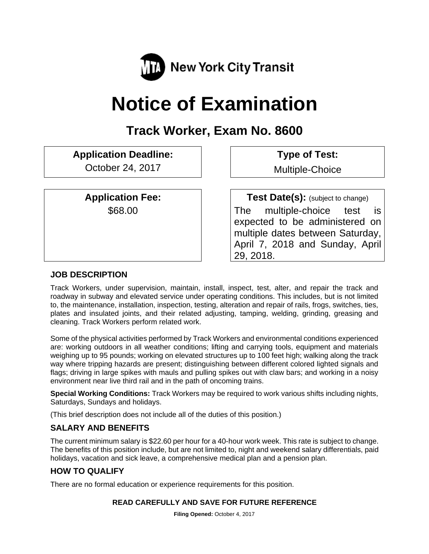

# **Notice of Examination**

## **Track Worker, Exam No. 8600**

## **Application Deadline: Type of Test:**

October 24, 2017 | Multiple-Choice

**Application Fee:**  $\qquad$  **Test Date(s):** (subject to change) \$68.00 The multiple-choice test is expected to be administered on multiple dates between Saturday, April 7, 2018 and Sunday, April 29, 2018.

## **JOB DESCRIPTION**

Track Workers, under supervision, maintain, install, inspect, test, alter, and repair the track and roadway in subway and elevated service under operating conditions. This includes, but is not limited to, the maintenance, installation, inspection, testing, alteration and repair of rails, frogs, switches, ties, plates and insulated joints, and their related adjusting, tamping, welding, grinding, greasing and cleaning. Track Workers perform related work.

Some of the physical activities performed by Track Workers and environmental conditions experienced are: working outdoors in all weather conditions; lifting and carrying tools, equipment and materials weighing up to 95 pounds; working on elevated structures up to 100 feet high; walking along the track way where tripping hazards are present; distinguishing between different colored lighted signals and flags; driving in large spikes with mauls and pulling spikes out with claw bars; and working in a noisy environment near live third rail and in the path of oncoming trains.

**Special Working Conditions:** Track Workers may be required to work various shifts including nights, Saturdays, Sundays and holidays.

(This brief description does not include all of the duties of this position.)

## **SALARY AND BENEFITS**

The current minimum salary is \$22.60 per hour for a 40-hour work week. This rate is subject to change. The benefits of this position include, but are not limited to, night and weekend salary differentials, paid holidays, vacation and sick leave, a comprehensive medical plan and a pension plan.

## **HOW TO QUALIFY**

There are no formal education or experience requirements for this position.

## **READ CAREFULLY AND SAVE FOR FUTURE REFERENCE**

**Filing Opened:** October 4, 2017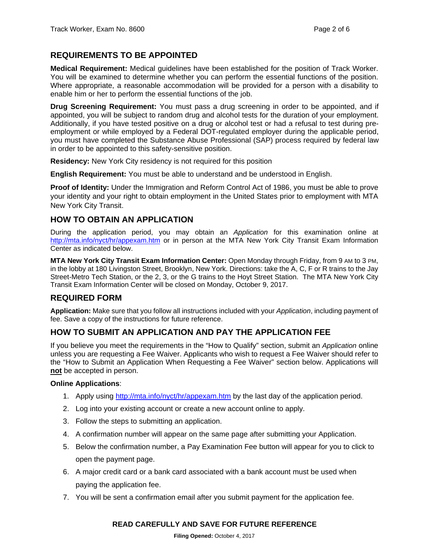## **REQUIREMENTS TO BE APPOINTED**

**Medical Requirement:** Medical guidelines have been established for the position of Track Worker. You will be examined to determine whether you can perform the essential functions of the position. Where appropriate, a reasonable accommodation will be provided for a person with a disability to enable him or her to perform the essential functions of the job.

**Drug Screening Requirement:** You must pass a drug screening in order to be appointed, and if appointed, you will be subject to random drug and alcohol tests for the duration of your employment. Additionally, if you have tested positive on a drug or alcohol test or had a refusal to test during preemployment or while employed by a Federal DOT-regulated employer during the applicable period, you must have completed the Substance Abuse Professional (SAP) process required by federal law in order to be appointed to this safety-sensitive position.

**Residency:** New York City residency is not required for this position

**English Requirement:** You must be able to understand and be understood in English.

**Proof of Identity:** Under the Immigration and Reform Control Act of 1986, you must be able to prove your identity and your right to obtain employment in the United States prior to employment with MTA New York City Transit.

## **HOW TO OBTAIN AN APPLICATION**

During the application period, you may obtain an *Application* for this examination online at http://mta.info/nyct/hr/appexam.htm or in person at the MTA New York City Transit Exam Information Center as indicated below.

**MTA New York City Transit Exam Information Center:** Open Monday through Friday, from 9 AM to 3 PM, in the lobby at 180 Livingston Street, Brooklyn, New York. Directions: take the A, C, F or R trains to the Jay Street-Metro Tech Station, or the 2, 3, or the G trains to the Hoyt Street Station. The MTA New York City Transit Exam Information Center will be closed on Monday, October 9, 2017.

## **REQUIRED FORM**

**Application:** Make sure that you follow all instructions included with your *Application*, including payment of fee. Save a copy of the instructions for future reference.

## **HOW TO SUBMIT AN APPLICATION AND PAY THE APPLICATION FEE**

If you believe you meet the requirements in the "How to Qualify" section, submit an *Application* online unless you are requesting a Fee Waiver. Applicants who wish to request a Fee Waiver should refer to the "How to Submit an Application When Requesting a Fee Waiver" section below. Applications will **not** be accepted in person.

#### **Online Applications**:

- 1. Apply using http://mta.info/nyct/hr/appexam.htm by the last day of the application period.
- 2. Log into your existing account or create a new account online to apply.
- 3. Follow the steps to submitting an application.
- 4. A confirmation number will appear on the same page after submitting your Application.
- 5. Below the confirmation number, a Pay Examination Fee button will appear for you to click to open the payment page.
- 6. A major credit card or a bank card associated with a bank account must be used when paying the application fee.
- 7. You will be sent a confirmation email after you submit payment for the application fee.

#### **READ CAREFULLY AND SAVE FOR FUTURE REFERENCE**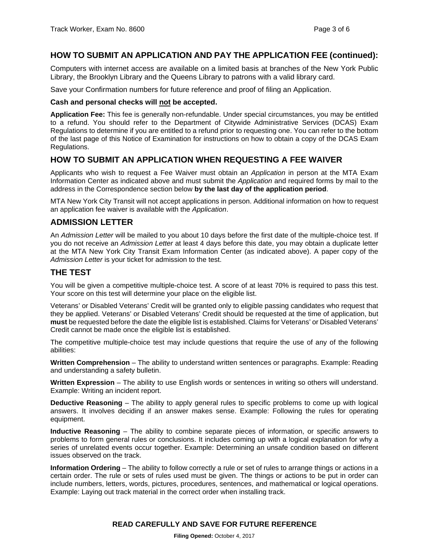### **HOW TO SUBMIT AN APPLICATION AND PAY THE APPLICATION FEE (continued):**

Computers with internet access are available on a limited basis at branches of the New York Public Library, the Brooklyn Library and the Queens Library to patrons with a valid library card.

Save your Confirmation numbers for future reference and proof of filing an Application.

#### **Cash and personal checks will not be accepted.**

**Application Fee:** This fee is generally non-refundable. Under special circumstances, you may be entitled to a refund. You should refer to the Department of Citywide Administrative Services (DCAS) Exam Regulations to determine if you are entitled to a refund prior to requesting one. You can refer to the bottom of the last page of this Notice of Examination for instructions on how to obtain a copy of the DCAS Exam Regulations.

#### **HOW TO SUBMIT AN APPLICATION WHEN REQUESTING A FEE WAIVER**

Applicants who wish to request a Fee Waiver must obtain an *Application* in person at the MTA Exam Information Center as indicated above and must submit the *Application* and required forms by mail to the address in the Correspondence section below **by the last day of the application period**.

MTA New York City Transit will not accept applications in person. Additional information on how to request an application fee waiver is available with the *Application*.

#### **ADMISSION LETTER**

An *Admission Letter* will be mailed to you about 10 days before the first date of the multiple-choice test. If you do not receive an *Admission Letter* at least 4 days before this date, you may obtain a duplicate letter at the MTA New York City Transit Exam Information Center (as indicated above). A paper copy of the *Admission Letter* is your ticket for admission to the test.

#### **THE TEST**

You will be given a competitive multiple-choice test. A score of at least 70% is required to pass this test. Your score on this test will determine your place on the eligible list.

Veterans' or Disabled Veterans' Credit will be granted only to eligible passing candidates who request that they be applied. Veterans' or Disabled Veterans' Credit should be requested at the time of application, but **must** be requested before the date the eligible list is established. Claims for Veterans' or Disabled Veterans' Credit cannot be made once the eligible list is established.

The competitive multiple-choice test may include questions that require the use of any of the following abilities:

**Written Comprehension** – The ability to understand written sentences or paragraphs. Example: Reading and understanding a safety bulletin.

Written Expression - The ability to use English words or sentences in writing so others will understand. Example: Writing an incident report.

**Deductive Reasoning** – The ability to apply general rules to specific problems to come up with logical answers. It involves deciding if an answer makes sense. Example: Following the rules for operating equipment.

**Inductive Reasoning** – The ability to combine separate pieces of information, or specific answers to problems to form general rules or conclusions. It includes coming up with a logical explanation for why a series of unrelated events occur together. Example: Determining an unsafe condition based on different issues observed on the track.

**Information Ordering** – The ability to follow correctly a rule or set of rules to arrange things or actions in a certain order. The rule or sets of rules used must be given. The things or actions to be put in order can include numbers, letters, words, pictures, procedures, sentences, and mathematical or logical operations. Example: Laying out track material in the correct order when installing track.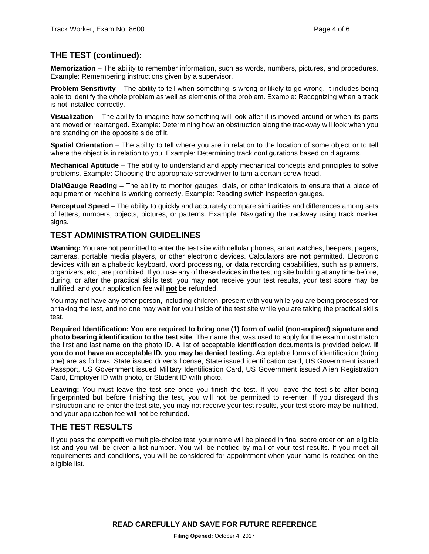## **THE TEST (continued):**

**Memorization** – The ability to remember information, such as words, numbers, pictures, and procedures. Example: Remembering instructions given by a supervisor.

**Problem Sensitivity** – The ability to tell when something is wrong or likely to go wrong. It includes being able to identify the whole problem as well as elements of the problem. Example: Recognizing when a track is not installed correctly.

**Visualization** – The ability to imagine how something will look after it is moved around or when its parts are moved or rearranged. Example: Determining how an obstruction along the trackway will look when you are standing on the opposite side of it.

**Spatial Orientation** – The ability to tell where you are in relation to the location of some object or to tell where the object is in relation to you. Example: Determining track configurations based on diagrams.

**Mechanical Aptitude** – The ability to understand and apply mechanical concepts and principles to solve problems. Example: Choosing the appropriate screwdriver to turn a certain screw head.

**Dial/Gauge Reading** – The ability to monitor gauges, dials, or other indicators to ensure that a piece of equipment or machine is working correctly. Example: Reading switch inspection gauges.

**Perceptual Speed** – The ability to quickly and accurately compare similarities and differences among sets of letters, numbers, objects, pictures, or patterns. Example: Navigating the trackway using track marker signs.

## **TEST ADMINISTRATION GUIDELINES**

**Warning:** You are not permitted to enter the test site with cellular phones, smart watches, beepers, pagers, cameras, portable media players, or other electronic devices. Calculators are **not** permitted. Electronic devices with an alphabetic keyboard, word processing, or data recording capabilities, such as planners, organizers, etc., are prohibited. If you use any of these devices in the testing site building at any time before, during, or after the practical skills test, you may **not** receive your test results, your test score may be nullified, and your application fee will **not** be refunded.

You may not have any other person, including children, present with you while you are being processed for or taking the test, and no one may wait for you inside of the test site while you are taking the practical skills test.

**Required Identification: You are required to bring one (1) form of valid (non-expired) signature and photo bearing identification to the test site**. The name that was used to apply for the exam must match the first and last name on the photo ID. A list of acceptable identification documents is provided below**. If you do not have an acceptable ID, you may be denied testing.** Acceptable forms of identification (bring one) are as follows: State issued driver's license, State issued identification card, US Government issued Passport, US Government issued Military Identification Card, US Government issued Alien Registration Card, Employer ID with photo, or Student ID with photo.

**Leaving:** You must leave the test site once you finish the test. If you leave the test site after being fingerprinted but before finishing the test, you will not be permitted to re-enter. If you disregard this instruction and re-enter the test site, you may not receive your test results, your test score may be nullified, and your application fee will not be refunded.

## **THE TEST RESULTS**

If you pass the competitive multiple-choice test, your name will be placed in final score order on an eligible list and you will be given a list number. You will be notified by mail of your test results. If you meet all requirements and conditions, you will be considered for appointment when your name is reached on the eligible list.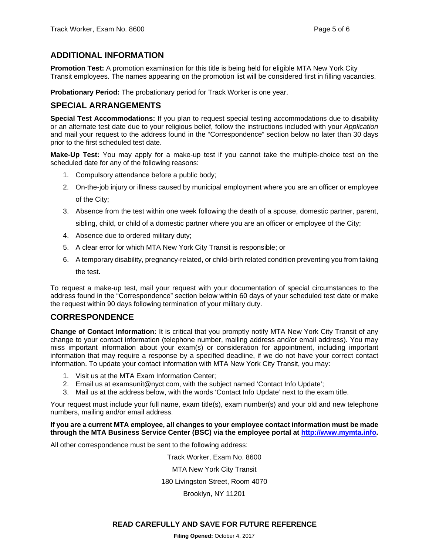## **ADDITIONAL INFORMATION**

**Promotion Test:** A promotion examination for this title is being held for eligible MTA New York City Transit employees. The names appearing on the promotion list will be considered first in filling vacancies.

**Probationary Period:** The probationary period for Track Worker is one year.

## **SPECIAL ARRANGEMENTS**

**Special Test Accommodations:** If you plan to request special testing accommodations due to disability or an alternate test date due to your religious belief, follow the instructions included with your *Application* and mail your request to the address found in the "Correspondence" section below no later than 30 days prior to the first scheduled test date.

**Make-Up Test:** You may apply for a make-up test if you cannot take the multiple-choice test on the scheduled date for any of the following reasons:

- 1. Compulsory attendance before a public body;
- 2. On-the-job injury or illness caused by municipal employment where you are an officer or employee of the City;
- 3. Absence from the test within one week following the death of a spouse, domestic partner, parent, sibling, child, or child of a domestic partner where you are an officer or employee of the City;
- 4. Absence due to ordered military duty;
- 5. A clear error for which MTA New York City Transit is responsible; or
- 6. A temporary disability, pregnancy-related, or child-birth related condition preventing you from taking the test.

To request a make-up test, mail your request with your documentation of special circumstances to the address found in the "Correspondence" section below within 60 days of your scheduled test date or make the request within 90 days following termination of your military duty.

## **CORRESPONDENCE**

**Change of Contact Information:** It is critical that you promptly notify MTA New York City Transit of any change to your contact information (telephone number, mailing address and/or email address). You may miss important information about your exam(s) or consideration for appointment, including important information that may require a response by a specified deadline, if we do not have your correct contact information. To update your contact information with MTA New York City Transit, you may:

- 1. Visit us at the MTA Exam Information Center;
- 2. Email us at examsunit@nyct.com, with the subject named 'Contact Info Update';
- 3. Mail us at the address below, with the words 'Contact Info Update' next to the exam title.

Your request must include your full name, exam title(s), exam number(s) and your old and new telephone numbers, mailing and/or email address.

#### **If you are a current MTA employee, all changes to your employee contact information must be made through the MTA Business Service Center (BSC) via the employee portal at http://www.mymta.info.**

All other correspondence must be sent to the following address:

Track Worker, Exam No. 8600 MTA New York City Transit 180 Livingston Street, Room 4070 Brooklyn, NY 11201

#### **READ CAREFULLY AND SAVE FOR FUTURE REFERENCE**